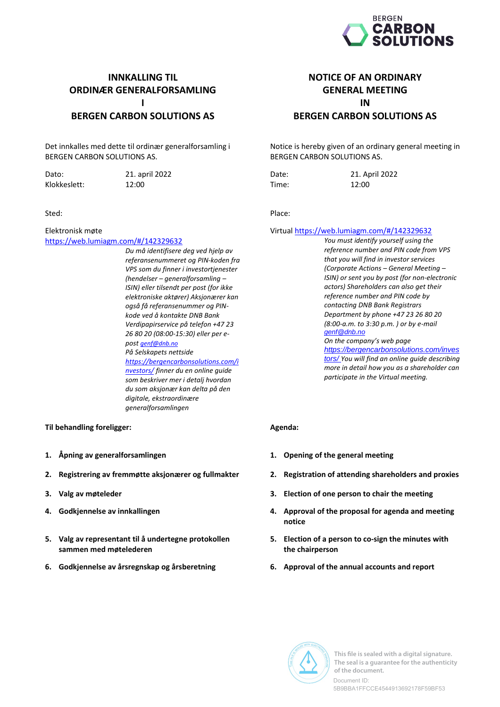

## **INNKALLING TIL ORDINÆR GENERALFORSAMLING** H **BERGEN CARBON SOLUTIONS AS**

Det innkalles med dette til ordinær generalforsamling i BERGEN CARBON SOLUTIONS AS.

Dato: Klokkeslett: 21. april 2022  $12:00$ 

Sted:

#### Elektronisk møte

#### https://web.lumiagm.com/#/142329632

Du må identifisere deg ved hjelp av referansenummeret og PIN-koden fra VPS som du finner i investortjenester (hendelser – generalforsamling – ISIN) eller tilsendt per post (for ikke elektroniske aktører) Aksjonærer kan også få referansenummer og PINkode ved å kontakte DNB Bank Verdipapirservice på telefon +47 23 26 80 20 (08:00-15:30) eller per epost genf@dnb.no På Selskapets nettside https://bergencarbonsolutions.com/i nvestors/finner du en online guide som beskriver mer i detalj hvordan du som aksjonær kan delta på den digitale, ekstraordinære generalforsamlingen

Til behandling foreligger:

- 1. Åpning av generalforsamlingen
- Registrering av fremmøtte aksjonærer og fullmakter  $2.$
- 3. Valg av møteleder
- 4. Godkjennelse av innkallingen
- 5. Valg av representant til å undertegne protokollen sammen med møtelederen
- 6. Godkjennelse av årsregnskap og årsberetning

## **NOTICE OF AN ORDINARY GENERAL MEETING** IN **BERGEN CARBON SOLUTIONS AS**

Notice is hereby given of an ordinary general meeting in BERGEN CARBON SOLUTIONS AS.

Date: Time: 21. April 2022  $12:00$ 

Place:

Virtual https://web.lumiagm.com/#/142329632

You must identify yourself using the reference number and PIN code from VPS that you will find in investor services (Corporate Actions - General Meeting -ISIN) or sent you by post (for non-electronic actors) Shareholders can also get their reference number and PIN code by contacting DNB Bank Registrars Department by phone +47 23 26 80 20 (8:00-a.m. to 3:30 p.m. ) or by e-mail  $\alpha$ enf@dnb.no On the company's web page https://bergencarbonsolutions.com/inves tors/You will find an online quide describing more in detail how you as a shareholder can participate in the Virtual meeting.

#### Agenda:

- $1.$ Opening of the general meeting
- 2. Registration of attending shareholders and proxies
- 3. Election of one person to chair the meeting
- 4. Approval of the proposal for agenda and meeting notice
- 5. Election of a person to co-sign the minutes with the chairperson
- 6. Approval of the annual accounts and report



This file is sealed with a digital signature. The seal is a guarantee for the authenticity of the document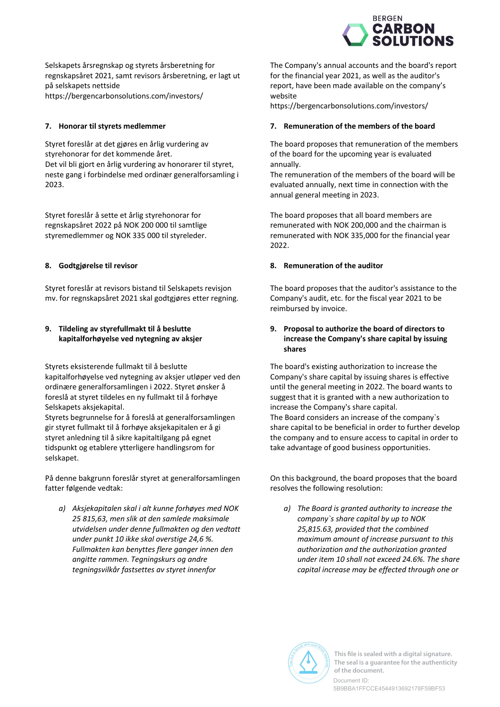Selskapets årsregnskap og styrets årsberetning for regnskapsåret 2021, samt revisors årsberetning, er lagt ut på selskapets nettside https://bergencarbonsolutions.com/investors/

#### 7. Honorar til styrets medlemmer

Styret foreslår at det gjøres en årlig vurdering av styrehonorar for det kommende året. Det vil bli gjort en årlig vurdering av honorarer til styret, neste gang i forbindelse med ordinær generalforsamling i 2023.

Styret foreslår å sette et årlig styrehonorar for regnskapsåret 2022 på NOK 200 000 til samtlige styremedlemmer og NOK 335 000 til styreleder.

#### 8. Godtgjørelse til revisor

Styret foreslår at revisors bistand til Selskapets revisjon mv. for regnskapsåret 2021 skal godtgjøres etter regning.

#### 9. Tildeling av styrefullmakt til å beslutte kapitalforhøyelse ved nytegning av aksjer

Styrets eksisterende fullmakt til å beslutte kapitalforhøyelse ved nytegning av aksjer utløper ved den ordinære generalforsamlingen i 2022. Styret ønsker å foreslå at styret tildeles en ny fullmakt til å forhøye Selskapets aksjekapital.

Styrets begrunnelse for å foreslå at generalforsamlingen gir styret fullmakt til å forhøye aksjekapitalen er å gi styret anledning til å sikre kapitaltilgang på egnet tidspunkt og etablere ytterligere handlingsrom for selskapet.

På denne bakgrunn foreslår styret at generalforsamlingen fatter følgende vedtak:

a) Aksjekapitalen skal i alt kunne forhøyes med NOK 25 815,63, men slik at den samlede maksimale utvidelsen under denne fullmakten og den vedtatt under punkt 10 ikke skal overstige 24,6 %. Fullmakten kan benyttes flere ganger innen den angitte rammen. Tegningskurs og andre tegningsvilkår fastsettes av styret innenfor



The Company's annual accounts and the board's report for the financial year 2021, as well as the auditor's report, have been made available on the company's website

https://bergencarbonsolutions.com/investors/

#### 7. Remuneration of the members of the board

The board proposes that remuneration of the members of the board for the upcoming year is evaluated annually.

The remuneration of the members of the board will be evaluated annually, next time in connection with the annual general meeting in 2023.

The board proposes that all board members are remunerated with NOK 200,000 and the chairman is remunerated with NOK 335,000 for the financial year 2022.

#### 8. Remuneration of the auditor

The board proposes that the auditor's assistance to the Company's audit, etc. for the fiscal year 2021 to be reimbursed by invoice.

### 9. Proposal to authorize the board of directors to increase the Company's share capital by issuing shares

The board's existing authorization to increase the Company's share capital by issuing shares is effective until the general meeting in 2022. The board wants to suggest that it is granted with a new authorization to increase the Company's share capital. The Board considers an increase of the company's share capital to be beneficial in order to further develop the company and to ensure access to capital in order to take advantage of good business opportunities.

On this background, the board proposes that the board resolves the following resolution:

The Board is granted authority to increase the  $a)$ company's share capital by up to NOK 25,815.63, provided that the combined maximum amount of increase pursuant to this authorization and the authorization granted under item 10 shall not exceed 24.6%. The share capital increase may be effected through one or



This file is sealed with a digital signature. The seal is a guarantee for the authenticity of the document

Document ID: 5B9BBA1FECCE4544913692178E59BE53